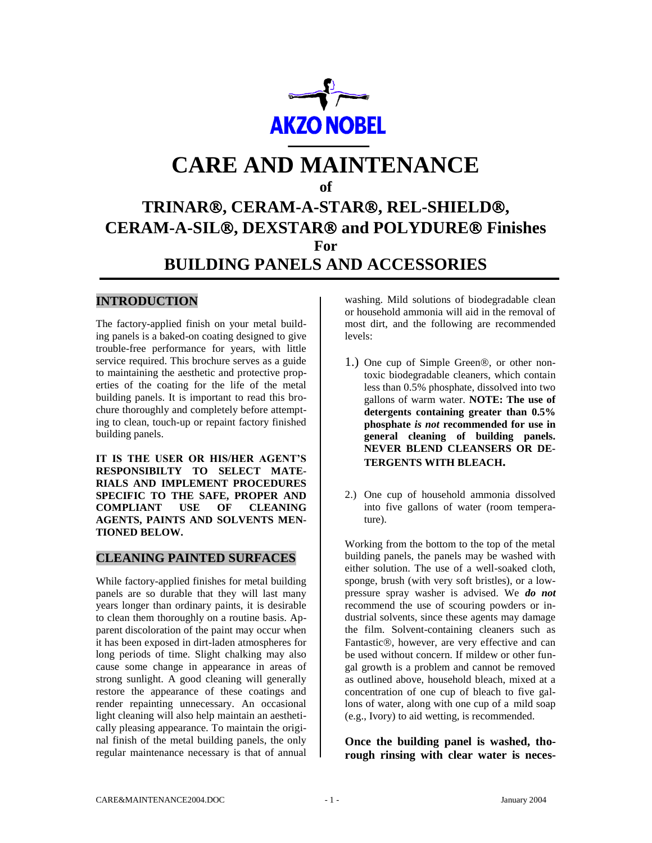

# **CARE AND MAINTENANCE**

#### **of**

# **TRINAR, CERAM-A-STAR, REL-SHIELD, CERAM-A-SIL, DEXSTAR and POLYDURE Finishes For BUILDING PANELS AND ACCESSORIES**

# **INTRODUCTION**

The factory-applied finish on your metal building panels is a baked-on coating designed to give trouble-free performance for years, with little service required. This brochure serves as a guide to maintaining the aesthetic and protective properties of the coating for the life of the metal building panels. It is important to read this brochure thoroughly and completely before attempting to clean, touch-up or repaint factory finished building panels.

**IT IS THE USER OR HIS/HER AGENT'S RESPONSIBILTY TO SELECT MATE-RIALS AND IMPLEMENT PROCEDURES SPECIFIC TO THE SAFE, PROPER AND COMPLIANT USE OF CLEANING AGENTS, PAINTS AND SOLVENTS MEN-TIONED BELOW.**

### **CLEANING PAINTED SURFACES**

While factory-applied finishes for metal building panels are so durable that they will last many years longer than ordinary paints, it is desirable to clean them thoroughly on a routine basis. Apparent discoloration of the paint may occur when it has been exposed in dirt-laden atmospheres for long periods of time. Slight chalking may also cause some change in appearance in areas of strong sunlight. A good cleaning will generally restore the appearance of these coatings and render repainting unnecessary. An occasional light cleaning will also help maintain an aesthetically pleasing appearance. To maintain the original finish of the metal building panels, the only regular maintenance necessary is that of annual washing. Mild solutions of biodegradable clean or household ammonia will aid in the removal of most dirt, and the following are recommended levels:

- 1.) One cup of Simple Green<sup>®</sup>, or other nontoxic biodegradable cleaners, which contain less than 0.5% phosphate, dissolved into two gallons of warm water. **NOTE: The use of detergents containing greater than 0.5% phosphate** *is not* **recommended for use in general cleaning of building panels. NEVER BLEND CLEANSERS OR DE-TERGENTS WITH BLEACH.**
- 2.) One cup of household ammonia dissolved into five gallons of water (room temperature).

Working from the bottom to the top of the metal building panels, the panels may be washed with either solution. The use of a well-soaked cloth, sponge, brush (with very soft bristles), or a lowpressure spray washer is advised. We *do not* recommend the use of scouring powders or industrial solvents, since these agents may damage the film. Solvent-containing cleaners such as Fantastic®, however, are very effective and can be used without concern. If mildew or other fungal growth is a problem and cannot be removed as outlined above, household bleach, mixed at a concentration of one cup of bleach to five gallons of water, along with one cup of a mild soap (e.g., Ivory) to aid wetting, is recommended.

**Once the building panel is washed, thorough rinsing with clear water is neces-**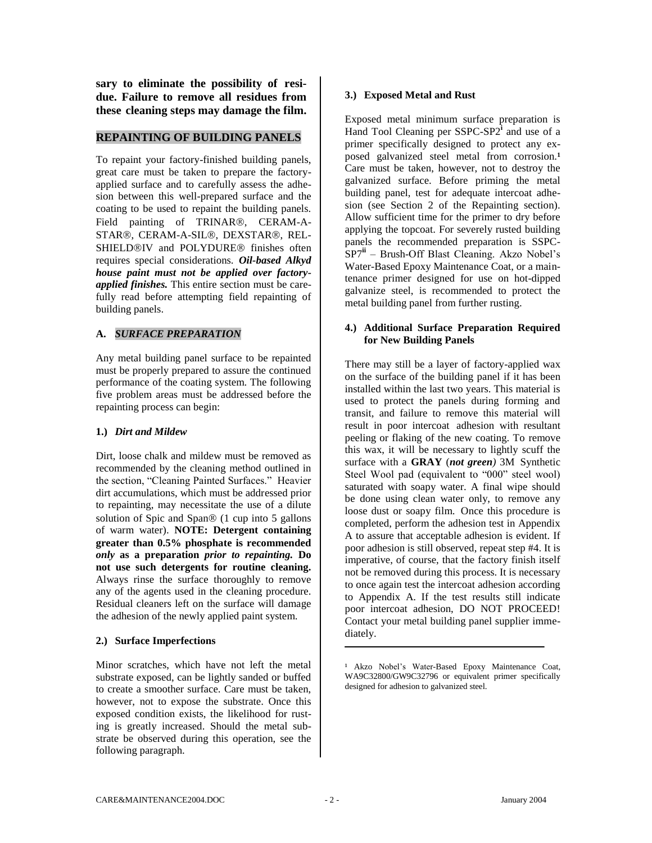**sary to eliminate the possibility of residue. Failure to remove all residues from these cleaning steps may damage the film.** 

#### **REPAINTING OF BUILDING PANELS**

To repaint your factory-finished building panels, great care must be taken to prepare the factoryapplied surface and to carefully assess the adhesion between this well-prepared surface and the coating to be used to repaint the building panels. Field painting of TRINAR®, CERAM-A-STAR®, CERAM-A-SIL®, DEXSTAR®, REL-SHIELD®IV and POLYDURE<sup>®</sup> finishes often requires special considerations. *Oil-based Alkyd house paint must not be applied over factoryapplied finishes.* This entire section must be carefully read before attempting field repainting of building panels.

#### **A.** *SURFACE PREPARATION*

Any metal building panel surface to be repainted must be properly prepared to assure the continued performance of the coating system. The following five problem areas must be addressed before the repainting process can begin:

#### **1.)** *Dirt and Mildew*

Dirt, loose chalk and mildew must be removed as recommended by the cleaning method outlined in the section, "Cleaning Painted Surfaces." Heavier dirt accumulations, which must be addressed prior to repainting, may necessitate the use of a dilute solution of Spic and Span $\mathcal D$  (1 cup into 5 gallons of warm water). **NOTE: Detergent containing greater than 0.5% phosphate is recommended**  *only* **as a preparation** *prior to repainting.* **Do not use such detergents for routine cleaning.**  Always rinse the surface thoroughly to remove any of the agents used in the cleaning procedure. Residual cleaners left on the surface will damage the adhesion of the newly applied paint system.

#### **2.) Surface Imperfections**

Minor scratches, which have not left the metal substrate exposed, can be lightly sanded or buffed to create a smoother surface. Care must be taken, however, not to expose the substrate. Once this exposed condition exists, the likelihood for rusting is greatly increased. Should the metal substrate be observed during this operation, see the following paragraph.

#### **3.) Exposed Metal and Rust**

Exposed metal minimum surface preparation is Hand Tool Cleaning per SSPC-SP2<sup>1</sup> and use of a primer specifically designed to protect any exposed galvanized steel metal from corrosion.<sup>1</sup> Care must be taken, however, not to destroy the galvanized surface. Before priming the metal building panel, test for adequate intercoat adhesion (see Section 2 of the Repainting section). Allow sufficient time for the primer to dry before applying the topcoat. For severely rusted building panels the recommended preparation is SSPC-SP7**ii** – Brush-Off Blast Cleaning. Akzo Nobel's Water-Based Epoxy Maintenance Coat, or a maintenance primer designed for use on hot-dipped galvanize steel, is recommended to protect the metal building panel from further rusting.

#### **4.) Additional Surface Preparation Required for New Building Panels**

There may still be a layer of factory-applied wax on the surface of the building panel if it has been installed within the last two years. This material is used to protect the panels during forming and transit, and failure to remove this material will result in poor intercoat adhesion with resultant peeling or flaking of the new coating. To remove this wax, it will be necessary to lightly scuff the surface with a **GRAY** (*not green)* 3M Synthetic Steel Wool pad (equivalent to "000" steel wool) saturated with soapy water. A final wipe should be done using clean water only, to remove any loose dust or soapy film. Once this procedure is completed, perform the adhesion test in Appendix A to assure that acceptable adhesion is evident. If poor adhesion is still observed, repeat step #4. It is imperative, of course, that the factory finish itself not be removed during this process. It is necessary to once again test the intercoat adhesion according to Appendix A. If the test results still indicate poor intercoat adhesion, DO NOT PROCEED! Contact your metal building panel supplier immediately.

<sup>&</sup>lt;sup>1</sup> Akzo Nobel's Water-Based Epoxy Maintenance Coat, WA9C32800/GW9C32796 or equivalent primer specifically designed for adhesion to galvanized steel.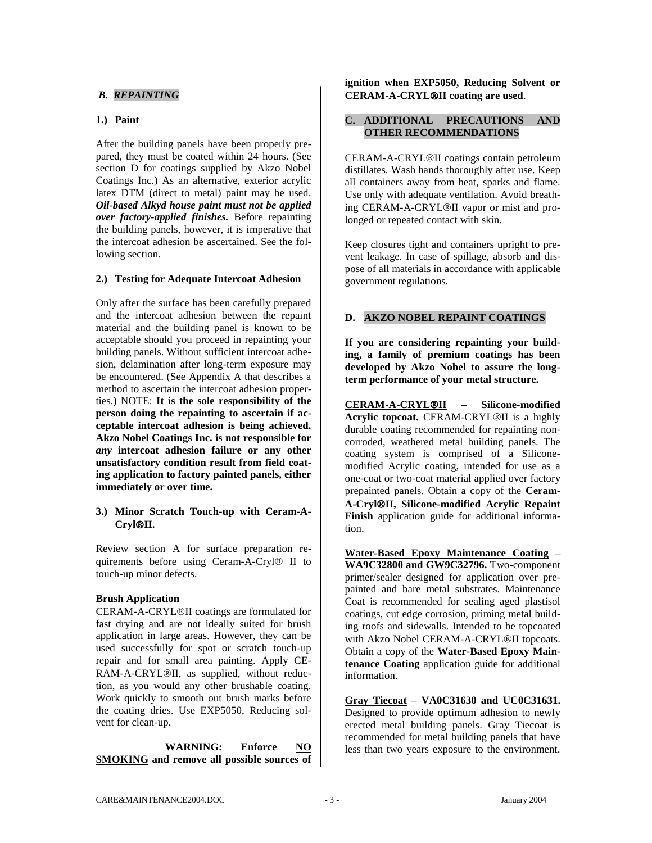#### *B. REPAINTING*

#### **1.) Paint**

After the building panels have been properly prepared, they must be coated within 24 hours. (See section D for coatings supplied by Akzo Nobel Coatings Inc.) As an alternative, exterior acrylic latex DTM (direct to metal) paint may be used. *Oil-based Alkyd house paint must not be applied over factory-applied finishes.* Before repainting the building panels, however, it is imperative that the intercoat adhesion be ascertained. See the following section.

#### **2.) Testing for Adequate Intercoat Adhesion**

Only after the surface has been carefully prepared and the intercoat adhesion between the repaint material and the building panel is known to be acceptable should you proceed in repainting your building panels. Without sufficient intercoat adhesion, delamination after long-term exposure may be encountered. (See Appendix A that describes a method to ascertain the intercoat adhesion properties.) NOTE: **It is the sole responsibility of the person doing the repainting to ascertain if acceptable intercoat adhesion is being achieved. Akzo Nobel Coatings Inc. is not responsible for**  *any* **intercoat adhesion failure or any other unsatisfactory condition result from field coating application to factory painted panels, either immediately or over time.** 

#### **3.) Minor Scratch Touch-up with Ceram-A-CrylII.**

Review section A for surface preparation requirements before using Ceram-A-Cryl<sup>®</sup> II to touch-up minor defects.

#### **Brush Application**

CERAM-A-CRYL®II coatings are formulated for fast drying and are not ideally suited for brush application in large areas. However, they can be used successfully for spot or scratch touch-up repair and for small area painting. Apply CE-RAM-A-CRYL®II, as supplied, without reduction, as you would any other brushable coating. Work quickly to smooth out brush marks before the coating dries. Use EXP5050, Reducing solvent for clean-up.

 **WARNING: Enforce NO SMOKING and remove all possible sources of**  **ignition when EXP5050, Reducing Solvent or CERAM-A-CRYLII coating are used**.

#### **C. ADDITIONAL PRECAUTIONS AND OTHER RECOMMENDATIONS**

CERAM-A-CRYL®II coatings contain petroleum distillates. Wash hands thoroughly after use. Keep all containers away from heat, sparks and flame. Use only with adequate ventilation. Avoid breathing CERAM-A-CRYL®II vapor or mist and prolonged or repeated contact with skin.

Keep closures tight and containers upright to prevent leakage. In case of spillage, absorb and dispose of all materials in accordance with applicable government regulations.

#### **D. AKZO NOBEL REPAINT COATINGS**

**If you are considering repainting your building, a family of premium coatings has been developed by Akzo Nobel to assure the longterm performance of your metal structure.**

**CERAM-A-CRYLII – Silicone-modified Acrylic topcoat.** CERAM-CRYL®II is a highly durable coating recommended for repainting noncorroded, weathered metal building panels. The coating system is comprised of a Siliconemodified Acrylic coating, intended for use as a one-coat or two-coat material applied over factory prepainted panels. Obtain a copy of the **Ceram-A-CrylII, Silicone-modified Acrylic Repaint Finish** application guide for additional information.

**Water-Based Epoxy Maintenance Coating – WA9C32800 and GW9C32796.** Two-component primer/sealer designed for application over prepainted and bare metal substrates. Maintenance Coat is recommended for sealing aged plastisol coatings, cut edge corrosion, priming metal building roofs and sidewalls. Intended to be topcoated with Akzo Nobel CERAM-A-CRYL®II topcoats. Obtain a copy of the **Water-Based Epoxy Maintenance Coating** application guide for additional information.

**Gray Tiecoat – VA0C31630 and UC0C31631.**  Designed to provide optimum adhesion to newly erected metal building panels. Gray Tiecoat is recommended for metal building panels that have less than two years exposure to the environment.